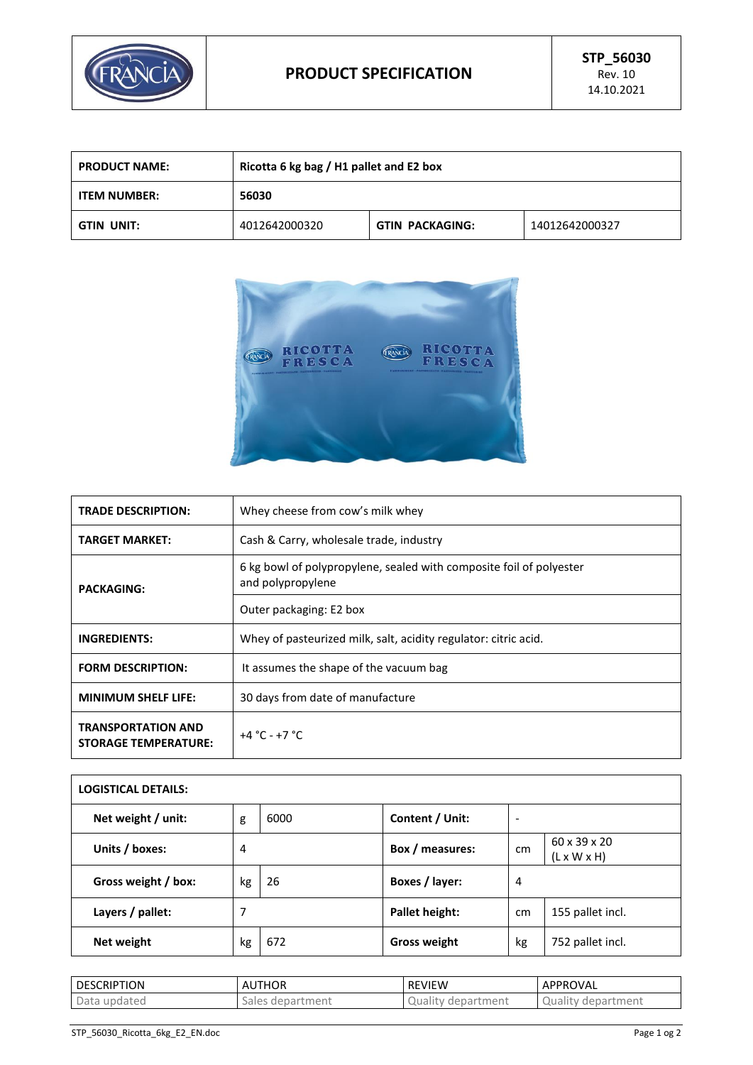

| <b>PRODUCT NAME:</b> | Ricotta 6 kg bag / H1 pallet and E2 box |                        |                |
|----------------------|-----------------------------------------|------------------------|----------------|
| <b>ITEM NUMBER:</b>  | 56030                                   |                        |                |
| GTIN UNIT:           | 4012642000320                           | <b>GTIN PACKAGING:</b> | 14012642000327 |



| <b>TRADE DESCRIPTION:</b>                                | Whey cheese from cow's milk whey                                                         |  |  |
|----------------------------------------------------------|------------------------------------------------------------------------------------------|--|--|
| <b>TARGET MARKET:</b>                                    | Cash & Carry, wholesale trade, industry                                                  |  |  |
| <b>PACKAGING:</b>                                        | 6 kg bowl of polypropylene, sealed with composite foil of polyester<br>and polypropylene |  |  |
|                                                          | Outer packaging: E2 box                                                                  |  |  |
| <b>INGREDIENTS:</b>                                      | Whey of pasteurized milk, salt, acidity regulator: citric acid.                          |  |  |
| <b>FORM DESCRIPTION:</b>                                 | It assumes the shape of the vacuum bag                                                   |  |  |
| <b>MINIMUM SHELF LIFE:</b>                               | 30 days from date of manufacture                                                         |  |  |
| <b>TRANSPORTATION AND</b><br><b>STORAGE TEMPERATURE:</b> | $+4 °C - +7 °C$                                                                          |  |  |

| <b>LOGISTICAL DETAILS:</b> |    |      |                     |    |                                                     |
|----------------------------|----|------|---------------------|----|-----------------------------------------------------|
| Net weight / unit:         | g  | 6000 | Content / Unit:     | ٠  |                                                     |
| Units / boxes:             | 4  |      | Box / measures:     | cm | $60 \times 39 \times 20$<br>$(L \times W \times H)$ |
| Gross weight / box:        | kg | 26   | Boxes / layer:      | 4  |                                                     |
| Layers / pallet:           | 7  |      | Pallet height:      | cm | 155 pallet incl.                                    |
| Net weight                 | kg | 672  | <b>Gross weight</b> | kg | 752 pallet incl.                                    |

| <b>DESCRIPTION</b> | <b>AUTHOR</b> | <b>REVIEW</b> | APPROVAL   |
|--------------------|---------------|---------------|------------|
| Data updated       | Sales         | department    | department |
|                    | department :  | Quality       | Quality    |